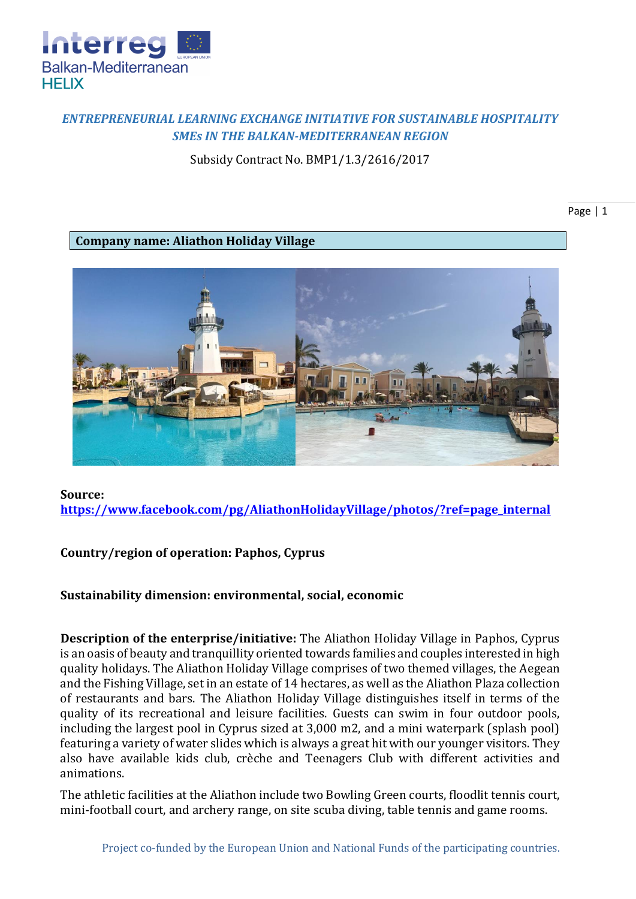

## *ENTREPRENEURIAL LEARNING EXCHANGE INITIATIVE FOR SUSTAINABLE HOSPITALITY SMEs IN THE BALKAN-MEDITERRANEAN REGION*

Subsidy Contract No. BMP1/1.3/2616/2017

Page | 1

**Company name: Aliathon Holiday Village**



## **Source: [https://www.facebook.com/pg/AliathonHolidayVillage/photos/?ref=page\\_internal](https://www.facebook.com/pg/AliathonHolidayVillage/photos/?ref=page_internal)**

## **Country/region of operation: Paphos, Cyprus**

## **Sustainability dimension: environmental, social, economic**

**Description of the enterprise/initiative:** The Aliathon Holiday Village in Paphos, Cyprus is an oasis of beauty and tranquillity oriented towards families and couples interested in high quality holidays. The Aliathon Holiday Village comprises of two themed villages, the Aegean and the Fishing Village, set in an estate of 14 hectares, as well as the Aliathon Plaza collection of restaurants and bars. The Aliathon Holiday Village distinguishes itself in terms of the quality of its recreational and leisure facilities. Guests can swim in four outdoor pools, including the largest pool in Cyprus sized at 3,000 m2, and a mini waterpark (splash pool) featuring a variety of water slides which is always a great hit with our younger visitors. They also have available kids club, crèche and Teenagers Club with different activities and animations.

The athletic facilities at the Aliathon include two Bowling Green courts, floodlit tennis court, mini-football court, and archery range, on site scuba diving, table tennis and game rooms.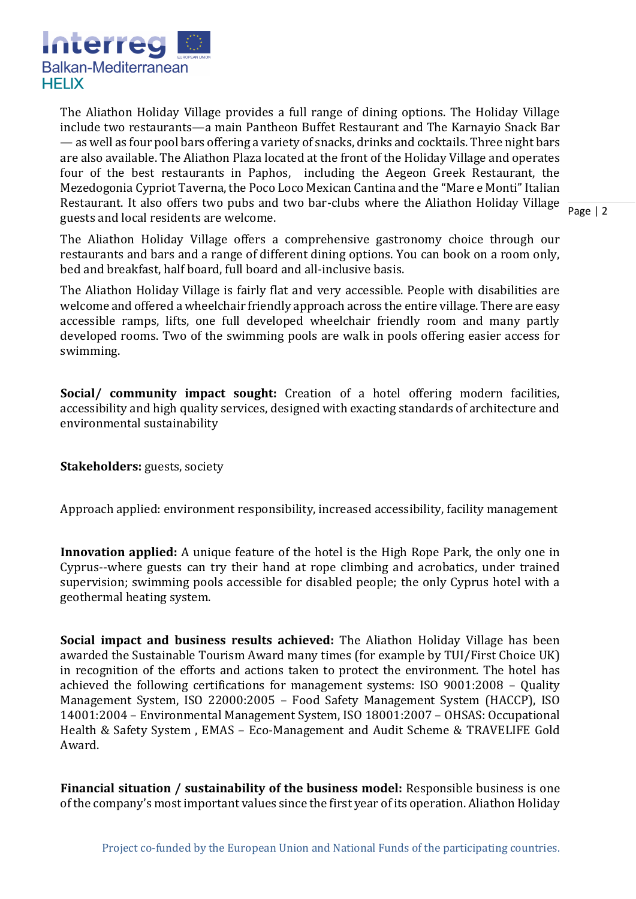

Restaurant. It also offers two pubs and two bar-clubs where the Aliathon Holiday Village  $\frac{1}{\text{Page } 12}$ The Aliathon Holiday Village provides a full range of dining options. The Holiday Village include two restaurants—a main Pantheon Buffet Restaurant and The Karnayio Snack Bar — as well as four pool bars offering a variety of snacks, drinks and cocktails. Three night bars are also available. The Aliathon Plaza located at the front of the Holiday Village and operates four of the best restaurants in Paphos, including the Aegeon Greek Restaurant, the Mezedogonia Cypriot Taverna, the Poco Loco Mexican Cantina and the "Mare e Monti" Italian guests and local residents are welcome.

The Aliathon Holiday Village offers a comprehensive gastronomy choice through our restaurants and bars and a range of different dining options. You can book on a room only, bed and breakfast, half board, full board and all-inclusive basis.

The Aliathon Holiday Village is fairly flat and very accessible. People with disabilities are welcome and offered a wheelchair friendly approach across the entire village. There are easy accessible ramps, lifts, one full developed wheelchair friendly room and many partly developed rooms. Two of the swimming pools are walk in pools offering easier access for swimming.

**Social/ community impact sought:** Creation of a hotel offering modern facilities, accessibility and high quality services, designed with exacting standards of architecture and environmental sustainability

**Stakeholders:** guests, society

Approach applied: environment responsibility, increased accessibility, facility management

**Innovation applied:** A unique feature of the hotel is the High Rope Park, the only one in Cyprus--where guests can try their hand at rope climbing and acrobatics, under trained supervision; swimming pools accessible for disabled people; the only Cyprus hotel with a geothermal heating system.

**Social impact and business results achieved:** The Aliathon Holiday Village has been awarded the Sustainable Tourism Award many times (for example by TUI/First Choice UK) in recognition of the efforts and actions taken to protect the environment. The hotel has achieved the following certifications for management systems: ISO 9001:2008 – Quality Management System, ISO 22000:2005 – Food Safety Management System (HACCP), ISO 14001:2004 – Environmental Management System, ISO 18001:2007 – OHSAS: Occupational Health & Safety System , EMAS – Eco-Management and Audit Scheme & TRAVELIFE Gold Award.

**Financial situation / sustainability of the business model:** Responsible business is one of the company's most important values since the first year of its operation. Aliathon Holiday